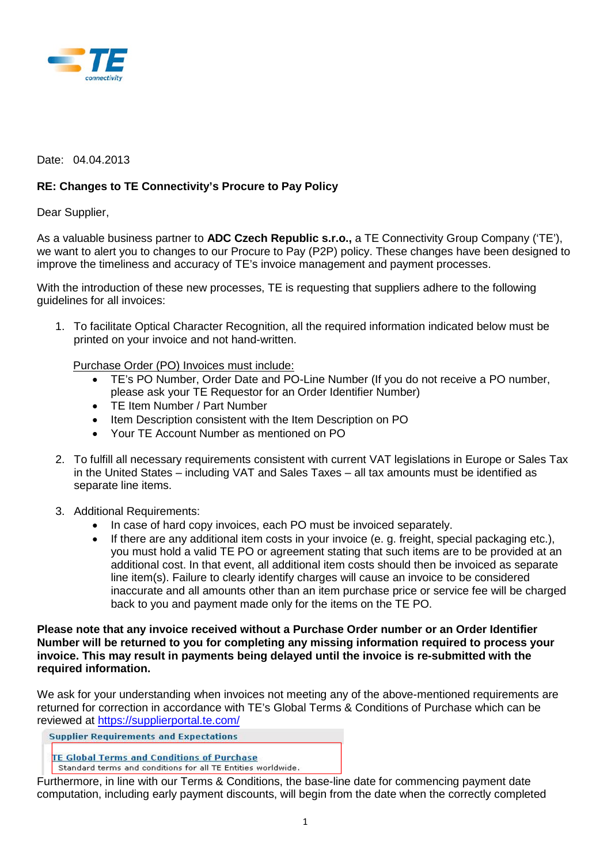

## Date: 04.04.2013

## **RE: Changes to TE Connectivity's Procure to Pay Policy**

Dear Supplier,

As a valuable business partner to **ADC Czech Republic s.r.o.,** a TE Connectivity Group Company ('TE'), we want to alert you to changes to our Procure to Pay (P2P) policy. These changes have been designed to improve the timeliness and accuracy of TE's invoice management and payment processes.

With the introduction of these new processes, TE is requesting that suppliers adhere to the following guidelines for all invoices:

1. To facilitate Optical Character Recognition, all the required information indicated below must be printed on your invoice and not hand-written.

Purchase Order (PO) Invoices must include:

- TE's PO Number, Order Date and PO-Line Number (If you do not receive a PO number, please ask your TE Requestor for an Order Identifier Number)
- TE Item Number / Part Number
- Item Description consistent with the Item Description on PO
- Your TE Account Number as mentioned on PO
- 2. To fulfill all necessary requirements consistent with current VAT legislations in Europe or Sales Tax in the United States – including VAT and Sales Taxes – all tax amounts must be identified as separate line items.
- 3. Additional Requirements:
	- In case of hard copy invoices, each PO must be invoiced separately.
	- If there are any additional item costs in your invoice (e. g. freight, special packaging etc.), you must hold a valid TE PO or agreement stating that such items are to be provided at an additional cost. In that event, all additional item costs should then be invoiced as separate line item(s). Failure to clearly identify charges will cause an invoice to be considered inaccurate and all amounts other than an item purchase price or service fee will be charged back to you and payment made only for the items on the TE PO.

**Please note that any invoice received without a Purchase Order number or an Order Identifier Number will be returned to you for completing any missing information required to process your invoice. This may result in payments being delayed until the invoice is re-submitted with the required information.** 

We ask for your understanding when invoices not meeting any of the above-mentioned requirements are returned for correction in accordance with TE's Global Terms & Conditions of Purchase which can be reviewed at<https://supplierportal.te.com/>

**Supplier Requirements and Expectations** 

**TE Global Terms and Conditions of Purchase** 

Standard terms and conditions for all TE Entities worldwide.

Furthermore, in line with our Terms & Conditions, the base-line date for commencing payment date computation, including early payment discounts, will begin from the date when the correctly completed